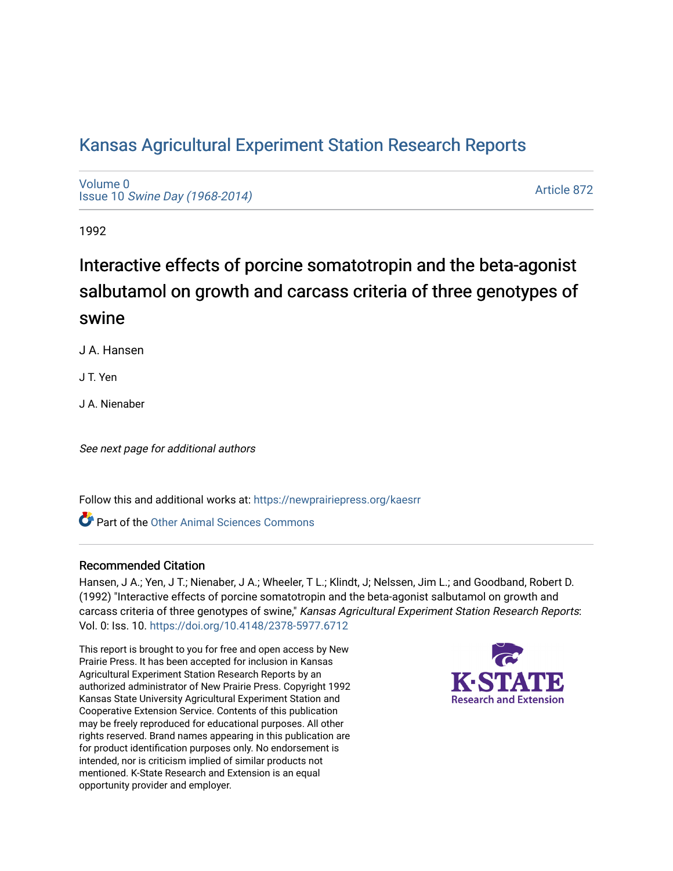# [Kansas Agricultural Experiment Station Research Reports](https://newprairiepress.org/kaesrr)

[Volume 0](https://newprairiepress.org/kaesrr/vol0) Issue 10 [Swine Day \(1968-2014\)](https://newprairiepress.org/kaesrr/vol0/iss10)

[Article 872](https://newprairiepress.org/kaesrr/vol0/iss10/872) 

1992

# Interactive effects of porcine somatotropin and the beta-agonist salbutamol on growth and carcass criteria of three genotypes of swine

J A. Hansen

J T. Yen

J A. Nienaber

See next page for additional authors

Follow this and additional works at: [https://newprairiepress.org/kaesrr](https://newprairiepress.org/kaesrr?utm_source=newprairiepress.org%2Fkaesrr%2Fvol0%2Fiss10%2F872&utm_medium=PDF&utm_campaign=PDFCoverPages) 

**C** Part of the [Other Animal Sciences Commons](http://network.bepress.com/hgg/discipline/82?utm_source=newprairiepress.org%2Fkaesrr%2Fvol0%2Fiss10%2F872&utm_medium=PDF&utm_campaign=PDFCoverPages)

### Recommended Citation

Hansen, J A.; Yen, J T.; Nienaber, J A.; Wheeler, T L.; Klindt, J; Nelssen, Jim L.; and Goodband, Robert D. (1992) "Interactive effects of porcine somatotropin and the beta-agonist salbutamol on growth and carcass criteria of three genotypes of swine," Kansas Agricultural Experiment Station Research Reports: Vol. 0: Iss. 10.<https://doi.org/10.4148/2378-5977.6712>

This report is brought to you for free and open access by New Prairie Press. It has been accepted for inclusion in Kansas Agricultural Experiment Station Research Reports by an authorized administrator of New Prairie Press. Copyright 1992 Kansas State University Agricultural Experiment Station and Cooperative Extension Service. Contents of this publication may be freely reproduced for educational purposes. All other rights reserved. Brand names appearing in this publication are for product identification purposes only. No endorsement is intended, nor is criticism implied of similar products not mentioned. K-State Research and Extension is an equal opportunity provider and employer.

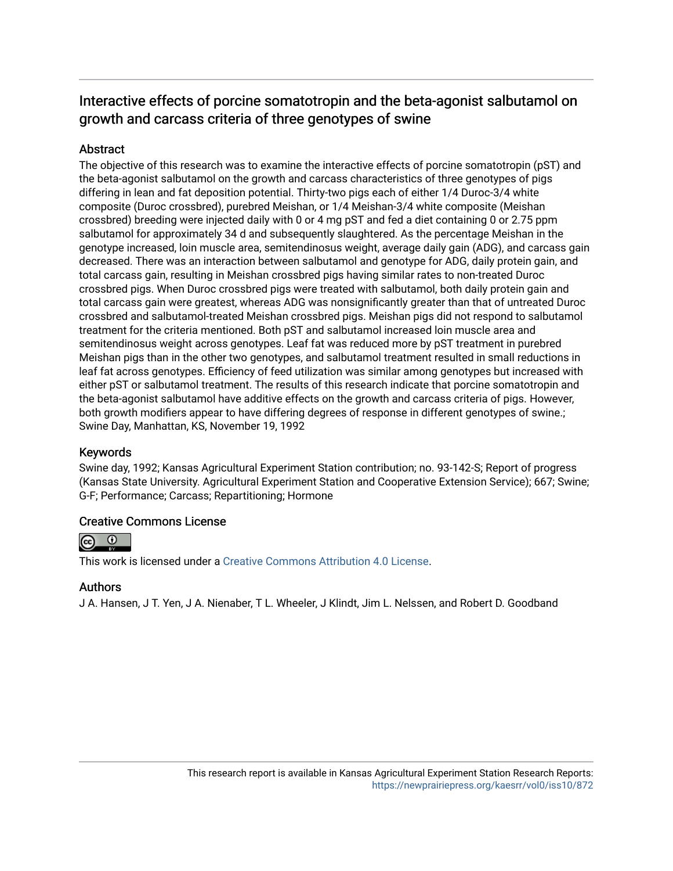## Interactive effects of porcine somatotropin and the beta-agonist salbutamol on growth and carcass criteria of three genotypes of swine

## **Abstract**

The objective of this research was to examine the interactive effects of porcine somatotropin (pST) and the beta-agonist salbutamol on the growth and carcass characteristics of three genotypes of pigs differing in lean and fat deposition potential. Thirty-two pigs each of either 1/4 Duroc-3/4 white composite (Duroc crossbred), purebred Meishan, or 1/4 Meishan-3/4 white composite (Meishan crossbred) breeding were injected daily with 0 or 4 mg pST and fed a diet containing 0 or 2.75 ppm salbutamol for approximately 34 d and subsequently slaughtered. As the percentage Meishan in the genotype increased, loin muscle area, semitendinosus weight, average daily gain (ADG), and carcass gain decreased. There was an interaction between salbutamol and genotype for ADG, daily protein gain, and total carcass gain, resulting in Meishan crossbred pigs having similar rates to non-treated Duroc crossbred pigs. When Duroc crossbred pigs were treated with salbutamol, both daily protein gain and total carcass gain were greatest, whereas ADG was nonsignificantly greater than that of untreated Duroc crossbred and salbutamol-treated Meishan crossbred pigs. Meishan pigs did not respond to salbutamol treatment for the criteria mentioned. Both pST and salbutamol increased loin muscle area and semitendinosus weight across genotypes. Leaf fat was reduced more by pST treatment in purebred Meishan pigs than in the other two genotypes, and salbutamol treatment resulted in small reductions in leaf fat across genotypes. Efficiency of feed utilization was similar among genotypes but increased with either pST or salbutamol treatment. The results of this research indicate that porcine somatotropin and the beta-agonist salbutamol have additive effects on the growth and carcass criteria of pigs. However, both growth modifiers appear to have differing degrees of response in different genotypes of swine.; Swine Day, Manhattan, KS, November 19, 1992

### Keywords

Swine day, 1992; Kansas Agricultural Experiment Station contribution; no. 93-142-S; Report of progress (Kansas State University. Agricultural Experiment Station and Cooperative Extension Service); 667; Swine; G-F; Performance; Carcass; Repartitioning; Hormone

### Creative Commons License



This work is licensed under a [Creative Commons Attribution 4.0 License](https://creativecommons.org/licenses/by/4.0/).

#### Authors

J A. Hansen, J T. Yen, J A. Nienaber, T L. Wheeler, J Klindt, Jim L. Nelssen, and Robert D. Goodband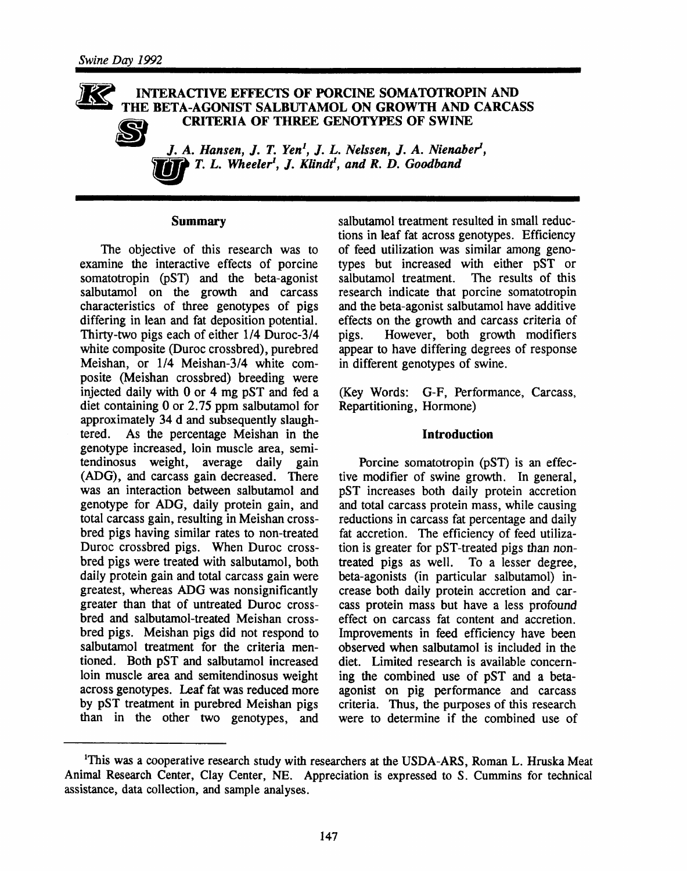#### INTERACTIVE EFFECTS OF PORCINE SOMATOTROPIN AND THE BETA-AGONIST SALBUTAMOL ON GROWTH AND CARCASS **CRITERIA OF THREE GENOTYPES OF SWINE**



J. A. Hansen, J. T. Yen<sup>1</sup>, J. L. Nelssen, J. A. Nienaber<sup>1</sup>,  $\mathbf{P}$  T. L. Wheeler<sup>1</sup>, J. Klindt<sup>1</sup>, and R. D. Goodband

#### **Summary**

The objective of this research was to examine the interactive effects of porcine somatotropin (pST) and the beta-agonist salbutamol on the growth and carcass characteristics of three genotypes of pigs differing in lean and fat deposition potential. Thirty-two pigs each of either 1/4 Duroc-3/4 white composite (Duroc crossbred), purebred Meishan, or 1/4 Meishan-3/4 white composite (Meishan crossbred) breeding were injected daily with 0 or 4 mg pST and fed a diet containing  $0$  or 2.75 ppm salbutamol for approximately 34 d and subsequently slaughtered. As the percentage Meishan in the genotype increased, loin muscle area, semitendinosus weight, average daily gain (ADG), and carcass gain decreased. There was an interaction between salbutamol and genotype for ADG, daily protein gain, and total carcass gain, resulting in Meishan crossbred pigs having similar rates to non-treated Duroc crossbred pigs. When Duroc crossbred pigs were treated with salbutamol, both daily protein gain and total carcass gain were greatest, whereas ADG was nonsignificantly greater than that of untreated Duroc crossbred and salbutamol-treated Meishan crossbred pigs. Meishan pigs did not respond to salbutamol treatment for the criteria mentioned. Both pST and salbutamol increased loin muscle area and semitendinosus weight across genotypes. Leaf fat was reduced more by pST treatment in purebred Meishan pigs than in the other two genotypes, and salbutamol treatment resulted in small reductions in leaf fat across genotypes. Efficiency of feed utilization was similar among genotypes but increased with either pST or salbutamol treatment. The results of this research indicate that porcine somatotropin and the beta-agonist salbutamol have additive effects on the growth and carcass criteria of However, both growth modifiers pigs. appear to have differing degrees of response in different genotypes of swine.

(Key Words: G-F, Performance, Carcass, Repartitioning, Hormone)

#### **Introduction**

Porcine somatotropin (pST) is an effective modifier of swine growth. In general, pST increases both daily protein accretion and total carcass protein mass, while causing reductions in carcass fat percentage and daily fat accretion. The efficiency of feed utilization is greater for pST-treated pigs than nontreated pigs as well. To a lesser degree, beta-agonists (in particular salbutamol) increase both daily protein accretion and carcass protein mass but have a less profound effect on carcass fat content and accretion. Improvements in feed efficiency have been observed when salbutamol is included in the diet. Limited research is available concerning the combined use of pST and a betaagonist on pig performance and carcass criteria. Thus, the purposes of this research were to determine if the combined use of

<sup>&</sup>lt;sup>1</sup>This was a cooperative research study with researchers at the USDA-ARS, Roman L. Hruska Meat Animal Research Center, Clay Center, NE. Appreciation is expressed to S. Cummins for technical assistance, data collection, and sample analyses.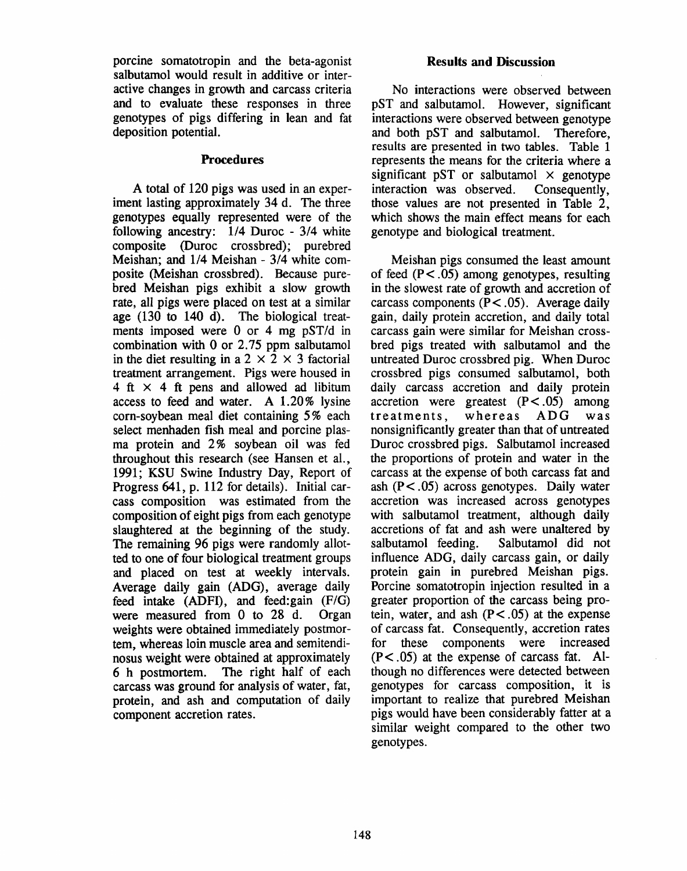porcine somatotropin and the beta-agonist salbutamol would result in additive or interactive changes in growth and carcass criteria and to evaluate these responses in three genotypes of pigs differing in lean and fat deposition potential.

#### **Procedures**

A total of 120 pigs was used in an experiment lasting approximately 34 d. The three genotypes equally represented were of the following ancestry: 1/4 Duroc - 3/4 white composite (Duroc crossbred); purebred Meishan; and 1/4 Meishan - 3/4 white composite (Meishan crossbred). Because purebred Meishan pigs exhibit a slow growth rate, all pigs were placed on test at a similar age (130 to 140 d). The biological treatments imposed were 0 or 4 mg pST/d in combination with 0 or 2.75 ppm salbutamol in the diet resulting in a 2  $\times$  2  $\times$  3 factorial treatment arrangement. Pigs were housed in 4 ft  $\times$  4 ft pens and allowed ad libitum access to feed and water. A 1.20% lysine corn-sovbean meal diet containing 5% each select menhaden fish meal and porcine plasma protein and 2% soybean oil was fed throughout this research (see Hansen et al., 1991: KSU Swine Industry Day, Report of Progress 641, p. 112 for details). Initial carcass composition was estimated from the composition of eight pigs from each genotype slaughtered at the beginning of the study. The remaining 96 pigs were randomly allotted to one of four biological treatment groups and placed on test at weekly intervals. Average daily gain (ADG), average daily feed intake  $(ADFI)$ , and feed: gain  $(F/G)$ were measured from 0 to 28 d. Organ weights were obtained immediately postmortem, whereas loin muscle area and semitendinosus weight were obtained at approximately 6 h postmortem. The right half of each carcass was ground for analysis of water, fat, protein, and ash and computation of daily component accretion rates.

#### **Results and Discussion**

No interactions were observed between pST and salbutamol. However, significant interactions were observed between genotype and both pST and salbutamol. Therefore, results are presented in two tables. Table 1 represents the means for the criteria where a significant pST or salbutamol  $\times$  genotype interaction was observed. Consequently. those values are not presented in Table 2. which shows the main effect means for each genotype and biological treatment.

Meishan pigs consumed the least amount of feed  $(P < .05)$  among genotypes, resulting in the slowest rate of growth and accretion of carcass components  $(P < .05)$ . Average daily gain, daily protein accretion, and daily total carcass gain were similar for Meishan crossbred pigs treated with salbutamol and the untreated Duroc crossbred pig. When Duroc crossbred pigs consumed salbutamol, both daily carcass accretion and daily protein accretion were greatest  $(P<.05)$  among treatments. whereas ADG was nonsignificantly greater than that of untreated Duroc crossbred pigs. Salbutamol increased the proportions of protein and water in the carcass at the expense of both carcass fat and ash  $(P<.05)$  across genotypes. Daily water accretion was increased across genotypes with salbutamol treatment, although daily accretions of fat and ash were unaltered by salbutamol feeding. Salbutamol did not influence ADG, daily carcass gain, or daily protein gain in purebred Meishan pigs. Porcine somatotropin injection resulted in a greater proportion of the carcass being protein, water, and ash  $(P < .05)$  at the expense of carcass fat. Consequently, accretion rates for these components were increased  $(P<.05)$  at the expense of carcass fat. Although no differences were detected between genotypes for carcass composition, it is important to realize that purebred Meishan pigs would have been considerably fatter at a similar weight compared to the other two genotypes.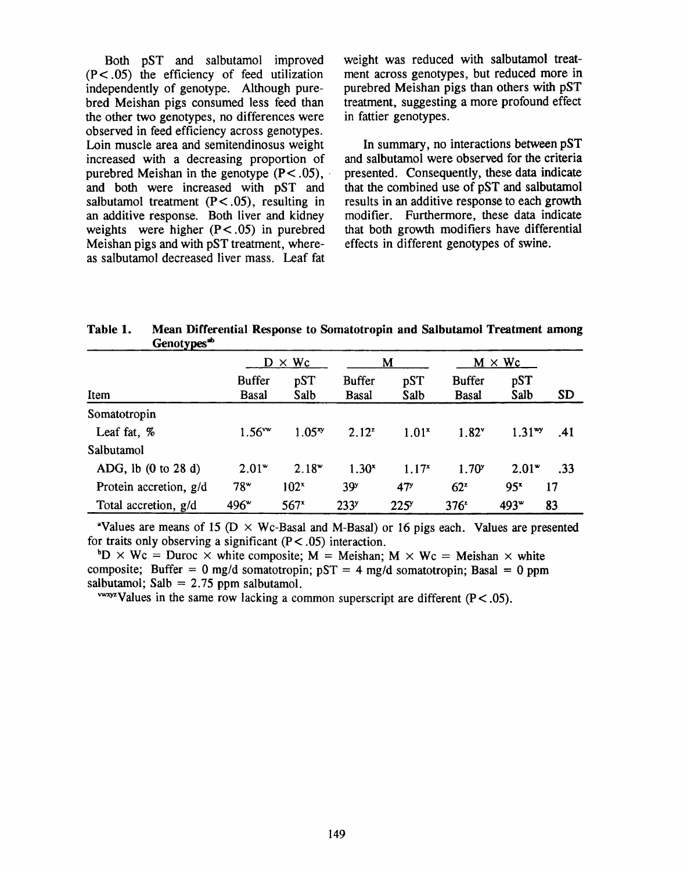Both pST and salbutamol improved  $(P<.05)$  the efficiency of feed utilization independently of genotype. Although purebred Meishan pigs consumed less feed than the other two genotypes, no differences were observed in feed efficiency across genotypes. Loin muscle area and semitendinosus weight increased with a decreasing proportion of purebred Meishan in the genotype  $(P < .05)$ , and both were increased with pST and salbutamol treatment  $(P < .05)$ , resulting in an additive response. Both liver and kidney weights were higher  $(P < .05)$  in purebred Meishan pigs and with pST treatment, whereas salbutamol decreased liver mass. Leaf fat

weight was reduced with salbutamol treatment across genotypes, but reduced more in purebred Meishan pigs than others with pST treatment, suggesting a more profound effect in fattier genotypes.

In summary, no interactions between pST and salbutamol were observed for the criteria presented. Consequently, these data indicate that the combined use of pST and salbutamol results in an additive response to each growth modifier. Furthermore, these data indicate that both growth modifiers have differential effects in different genotypes of swine.

Table 1. Mean Differential Response to Somatotropin and Salbutamol Treatment among Genotypes<sup>sb</sup>

|                                        | $\times$ Wc<br>D              |                  |                               | M               | $M \times Wc$          |                  |           |
|----------------------------------------|-------------------------------|------------------|-------------------------------|-----------------|------------------------|------------------|-----------|
| Item                                   | <b>Buffer</b><br><b>Basal</b> | pST<br>Salb      | <b>Buffer</b><br><b>Basal</b> | pST<br>Salb     | <b>Buffer</b><br>Basal | pST<br>Salb      | <b>SD</b> |
| Somatotropin                           |                               |                  |                               |                 |                        |                  |           |
| Leaf fat, %                            | $1.56***$                     | $1.05^{xy}$      | $2.12^{z}$                    | $1.01^{x}$      | $1.82^v$               | $1.31^{wy}$      | .41       |
| Salbutamol                             |                               |                  |                               |                 |                        |                  |           |
| ADG, lb $(0 \text{ to } 28 \text{ d})$ | $2.01*$                       | $2.18^{\rm w}$   | $1.30^{x}$                    | $1.17^{x}$      | 1.70 <sup>y</sup>      | $2.01*$          | .33       |
| Protein accretion, g/d                 | 78"                           | 102 <sup>x</sup> | 39 <sup>y</sup>               | 47 <sup>y</sup> | 62 <sup>z</sup>        | 95 <sup>x</sup>  | 17        |
| Total accretion, g/d                   | 496 <sup>w</sup>              | 567 <sup>x</sup> | 233 <sup>y</sup>              | $225^{\circ}$   | $376^{\circ}$          | 493 <sup>w</sup> | 83        |

<sup>a</sup>Values are means of 15 ( $D \times Wc$ -Basal and M-Basal) or 16 pigs each. Values are presented for traits only observing a significant  $(P < .05)$  interaction.

 ${}^{\circ}D \times Wc =$  Duroc  $\times$  white composite; M = Meishan; M  $\times Wc =$  Meishan  $\times$  white composite; Buffer = 0 mg/d somatotropin;  $pST = 4$  mg/d somatotropin; Basal = 0 ppm salbutamol; Salb =  $2.75$  ppm salbutamol.

<sup>vwxyz</sup>Values in the same row lacking a common superscript are different  $(P < .05)$ .